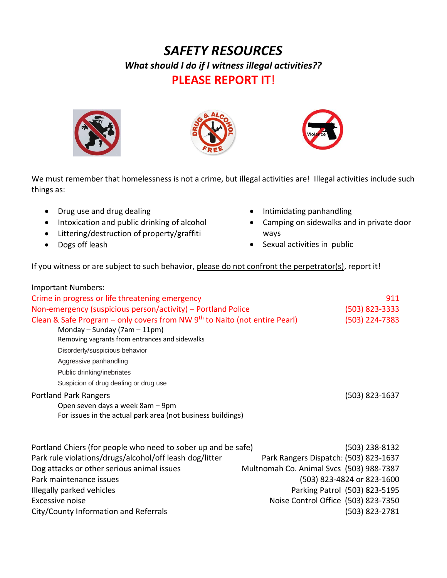## *SAFETY RESOURCES What should I do if I witness illegal activities??* **PLEASE REPORT IT**!







We must remember that homelessness is not a crime, but illegal activities are! Illegal activities include such things as:

- Drug use and drug dealing
- Intoxication and public drinking of alcohol
- Littering/destruction of property/graffiti
- Dogs off leash
- Intimidating panhandling
- Camping on sidewalks and in private door ways
- Sexual activities in public

If you witness or are subject to such behavior, please do not confront the perpetrator(s), report it!

| <b>Important Numbers:</b>                                                  |                                          |
|----------------------------------------------------------------------------|------------------------------------------|
| Crime in progress or life threatening emergency                            | 911                                      |
| Non-emergency (suspicious person/activity) – Portland Police               | (503) 823-3333                           |
| Clean & Safe Program - only covers from NW 9th to Naito (not entire Pearl) | (503) 224-7383                           |
| Monday - Sunday (7am - 11pm)                                               |                                          |
| Removing vagrants from entrances and sidewalks                             |                                          |
| Disorderly/suspicious behavior                                             |                                          |
| Aggressive panhandling                                                     |                                          |
| Public drinking/inebriates                                                 |                                          |
| Suspicion of drug dealing or drug use                                      |                                          |
| <b>Portland Park Rangers</b>                                               | (503) 823-1637                           |
| Open seven days a week 8am - 9pm                                           |                                          |
| For issues in the actual park area (not business buildings)                |                                          |
| Portland Chiers (for people who need to sober up and be safe)              | (503) 238-8132                           |
| Park rule violations/drugs/alcohol/off leash dog/litter                    | Park Rangers Dispatch: (503) 823-1637    |
|                                                                            |                                          |
| Dog attacks or other serious animal issues                                 | Multnomah Co. Animal Svcs (503) 988-7387 |
| Park maintenance issues                                                    | (503) 823-4824 or 823-1600               |
| Illegally parked vehicles                                                  | Parking Patrol (503) 823-5195            |
| Excessive noise                                                            | Noise Control Office (503) 823-7350      |
| City/County Information and Referrals                                      | (503) 823-2781                           |